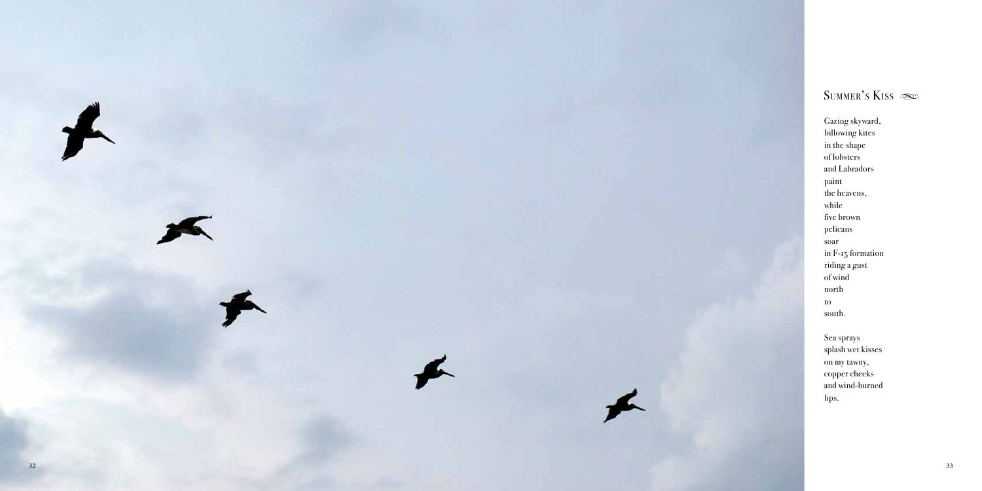

Gazing skyward, billowing kites in the shape of lobsters and Labradors paint the heavens, while five brown pelicans soar in F-15 formation riding a gust of wind north to south.

Sea sprays splash wet kisses on my tawny, copper cheeks and wind-burned lips.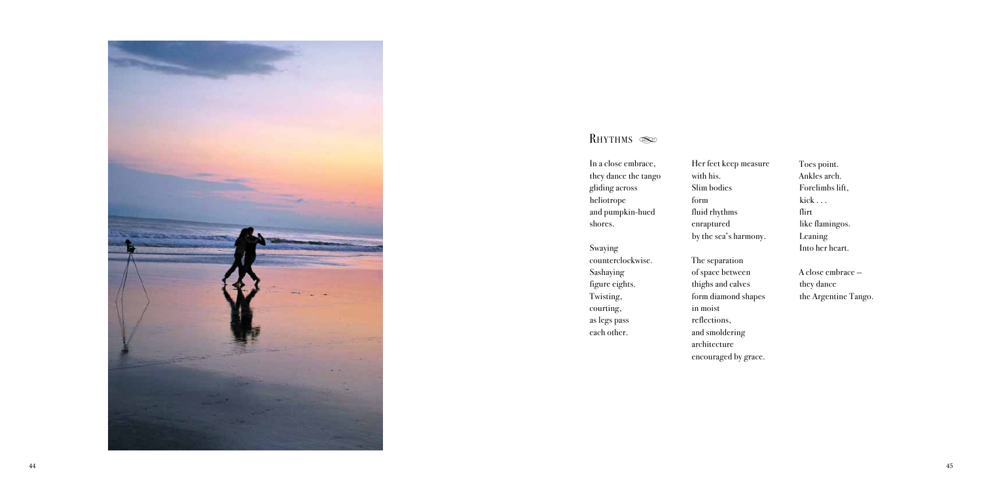

In a close embrace, they dance the tango gliding across heliotrope and pumpkin-hued shores.

Swaying counterclockwise. Sashaying figure eights. Twisting, courting, as legs pass each other.

Her feet with his. Slim bodi form fluid rhyt enrapture by the sea

The separ of space b thighs and form diam in moist reflection and smold architectu encouraged by grace.

| keep measure | Toes point.          |
|--------------|----------------------|
|              | Ankles arch.         |
| ies          | Forelimbs lift,      |
|              | $kick \dots$         |
| thms         | flirt                |
| ed           | like flamingos.      |
| a's harmony. | Leaning              |
|              | Into her heart.      |
| ration       |                      |
| between      | A close embrace -    |
| nd calves    | they dance           |
| mond shapes  | the Argentine Tango. |
|              |                      |
| ns,          |                      |
| dering       |                      |
| ure          |                      |
|              |                      |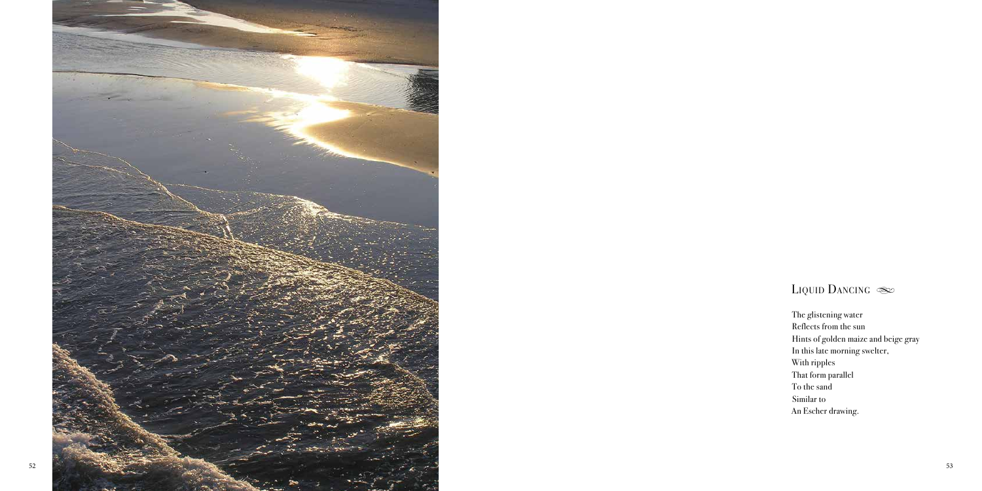

The glistening water Reflects from the sun Hints of golden maize and beige gray In this late morning swelter, With ripples That form parallel To the sand Similar to An Escher drawing.